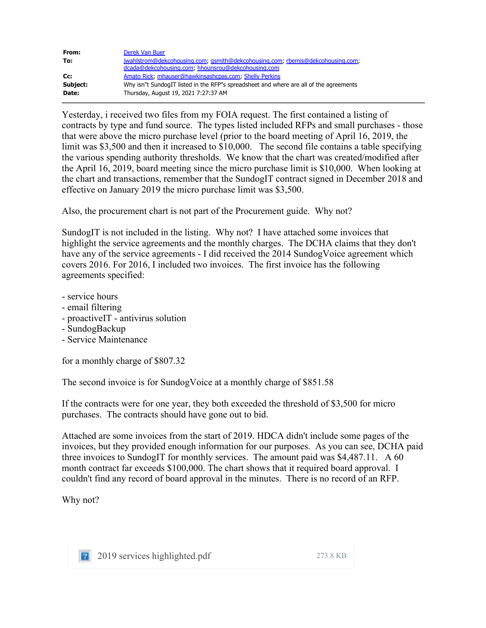| From:    | Derek Van Buer                                                                         |
|----------|----------------------------------------------------------------------------------------|
| To:      | jwahlstrom@dekcohousing.com; qsmith@dekcohousing.com; rbemis@dekcohousing.com;         |
|          | dcada@dekcohousing.com; hhounsrou@dekcohousing.com                                     |
| Cc:      | Amato Rick, mhauser@hawkinsashcpas.com, Shelly Perkins                                 |
| Subject: | Why isn"t SundogIT listed in the RFP"s spreadsheet and where are all of the agreements |
| Date:    | Thursday, August 19, 2021 7:27:37 AM                                                   |

Yesterday, i received two files from my FOIA request. The first contained a listing of contracts by type and fund source. The types listed included RFPs and small purchases - those that were above the micro purchase level (prior to the board meeting of April 16, 2019, the limit was \$3,500 and then it increased to \$10,000. The second file contains a table specifying the various spending authority thresholds. We know that the chart was created/modified after the April 16, 2019, board meeting since the micro purchase limit is \$10,000. When looking at the chart and transactions, remember that the SundogIT contract signed in December 2018 and effective on January 2019 the micro purchase limit was \$3,500.

Also, the procurement chart is not part of the Procurement guide. Why not?

SundogIT is not included in the listing. Why not? I have attached some invoices that highlight the service agreements and the monthly charges. The DCHA claims that they don't have any of the service agreements - I did received the 2014 SundogVoice agreement which covers 2016. For 2016, I included two invoices. The first invoice has the following agreements specified:

- service hours
- email filtering
- proactiveIT antivirus solution
- SundogBackup
- Service Maintenance

for a monthly charge of \$807.32

The second invoice is for SundogVoice at a monthly charge of \$851.58

If the contracts were for one year, they both exceeded the threshold of \$3,500 for micro purchases. The contracts should have gone out to bid.

Attached are some invoices from the start of 2019. HDCA didn't include some pages of the invoices, but they provided enough information for our purposes. As you can see, DCHA paid three invoices to SundogIT for monthly services. The amount paid was \$4,487.11. A 60 month contract far exceeds \$100,000. The chart shows that it required board approval. I couldn't find any record of board approval in the minutes. There is no record of an RFP.

Why not?